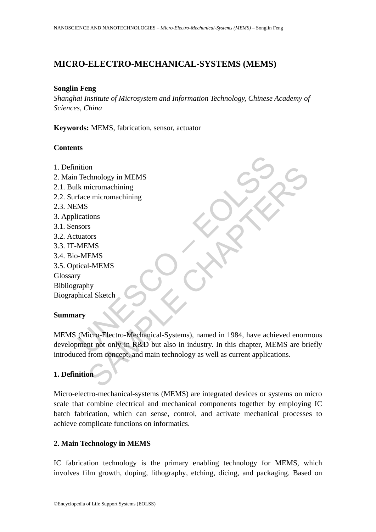# **MICRO-ELECTRO-MECHANICAL-SYSTEMS (MEMS)**

#### **Songlin Feng**

*Shanghai Institute of Microsystem and Information Technology, Chinese Academy of Sciences, China* 

**Keywords:** MEMS, fabrication, sensor, actuator

#### **Contents**

- 1. Definition
- 2. Main Technology in MEMS
- 2.1. Bulk micromachining
- 2.2. Surface micromachining
- 2.3. NEMS
- 3. Applications
- 3.1. Sensors
- 3.2. Actuators
- 3.3. IT-MEMS
- 3.4. Bio-MEMS
- 3.5. Optical-MEMS Glossary Bibliography

Biographical Sketch

#### **Summary**

Technology in MEMS<br>
Ik micromachining<br>
In face micromachining<br>
MS<br>
MEMS<br>
Suscors<br>
MEMS<br>
Excel - MEMS<br>
Mical Sketch<br>
Traphy<br>
(Micro-Electro-Mechanical-Systems), named in 1984, have achieved<br>
Traphy<br>
(Micro-Electro-Mechanica For the model of the MEMS<br>
chapter of the model of the model of the model of the model of the MEMS<br>
IS I-MEMS<br>
I-MEMS<br>
I-MEMS<br>
I-MEMS<br>
I-MEMS<br>
I-MEMS<br>
I-MEMS<br>
I-MEMS<br>
I-MEMS<br>
I-MEMS<br>
I-MEMS<br>
I-MEMS<br>
I-MEMS<br>
I-MEMS<br>
I-MEMS<br> MEMS (Micro-Electro-Mechanical-Systems), named in 1984, have achieved enormous development not only in R&D but also in industry. In this chapter, MEMS are briefly introduced from concept, and main technology as well as current applications.

## **1. Definition**

Micro-electro-mechanical-systems (MEMS) are integrated devices or systems on micro scale that combine electrical and mechanical components together by employing IC batch fabrication, which can sense, control, and activate mechanical processes to achieve complicate functions on informatics.

### **2. Main Technology in MEMS**

IC fabrication technology is the primary enabling technology for MEMS, which involves film growth, doping, lithography, etching, dicing, and packaging. Based on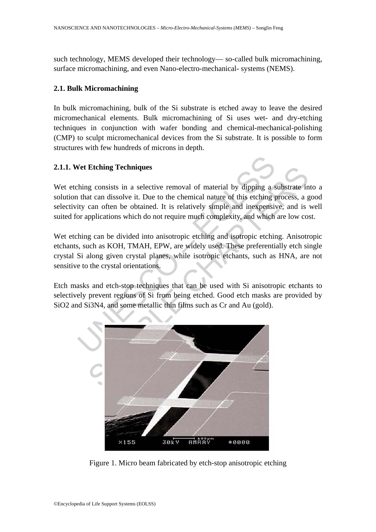such technology, MEMS developed their technology— so-called bulk micromachining, surface micromachining, and even Nano-electro-mechanical- systems (NEMS).

#### **2.1. Bulk Micromachining**

In bulk micromachining, bulk of the Si substrate is etched away to leave the desired micromechanical elements. Bulk micromachining of Si uses wet- and dry-etching techniques in conjunction with wafer bonding and chemical-mechanical-polishing (CMP) to sculpt micromechanical devices from the Si substrate. It is possible to form structures with few hundreds of microns in depth.

### **2.1.1. Wet Etching Techniques**

Wet etching consists in a selective removal of material by dipping a substrate into a solution that can dissolve it. Due to the chemical nature of this etching process, a good selectivity can often be obtained. It is relatively simple and inexpensive, and is well suited for applications which do not require much complexity, and which are low cost.

Wet etching can be divided into anisotropic etching and isotropic etching. Anisotropic etchants, such as KOH, TMAH, EPW, are widely used. These preferentially etch single crystal Si along given crystal planes, while isotropic etchants, such as HNA, are not sensitive to the crystal orientations.

Etch masks and etch-stop techniques that can be used with Si anisotropic etchants to selectively prevent regions of Si from being etched. Good etch masks are provided by SiO2 and Si3N4, and some metallic thin films such as Cr and Au (gold).



Figure 1. Micro beam fabricated by etch-stop anisotropic etching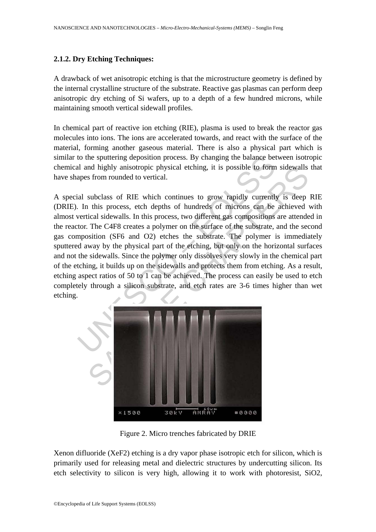## **2.1.2. Dry Etching Techniques:**

A drawback of wet anisotropic etching is that the microstructure geometry is defined by the internal crystalline structure of the substrate. Reactive gas plasmas can perform deep anisotropic dry etching of Si wafers, up to a depth of a few hundred microns, while maintaining smooth vertical sidewall profiles.

In chemical part of reactive ion etching (RIE), plasma is used to break the reactor gas molecules into ions. The ions are accelerated towards, and react with the surface of the material, forming another gaseous material. There is also a physical part which is similar to the sputtering deposition process. By changing the balance between isotropic chemical and highly anisotropic physical etching, it is possible to form sidewalls that have shapes from rounded to vertical.

to the sputtering deposition process. By changing the balance between the sputtering deposition process. By changing the balance between and highly anisotropic physical etching, it is possible to form apes from rounded to nd highly anisotropic physical etching, it is possible to form sidewalls<br>s from rounded to vertical.<br>subclass of RIE which continues to grow rapidly currently is deep<br>this process, etch depths of hundreds of microns can be A special subclass of RIE which continues to grow rapidly currently is deep RIE (DRIE). In this process, etch depths of hundreds of microns can be achieved with almost vertical sidewalls. In this process, two different gas compositions are attended in the reactor. The C4F8 creates a polymer on the surface of the substrate, and the second gas composition (SF6 and O2) etches the substrate. The polymer is immediately sputtered away by the physical part of the etching, but only on the horizontal surfaces and not the sidewalls. Since the polymer only dissolves very slowly in the chemical part of the etching, it builds up on the sidewalls and protects them from etching. As a result, etching aspect ratios of 50 to 1 can be achieved. The process can easily be used to etch completely through a silicon substrate, and etch rates are 3-6 times higher than wet etching.



Figure 2. Micro trenches fabricated by DRIE

Xenon difluoride (XeF2) etching is a dry vapor phase isotropic etch for silicon, which is primarily used for releasing metal and dielectric structures by undercutting silicon. Its etch selectivity to silicon is very high, allowing it to work with photoresist, SiO2,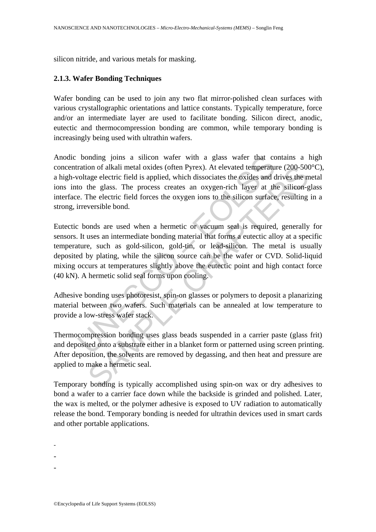silicon nitride, and various metals for masking.

### **2.1.3. Wafer Bonding Techniques**

Wafer bonding can be used to join any two flat mirror-polished clean surfaces with various crystallographic orientations and lattice constants. Typically temperature, force and/or an intermediate layer are used to facilitate bonding. Silicon direct, anodic, eutectic and thermocompression bonding are common, while temporary bonding is increasingly being used with ultrathin wafers.

Anodic bonding joins a silicon wafer with a glass wafer that contains a high concentration of alkali metal oxides (often Pyrex). At elevated temperature (200-500°C), a high-voltage electric field is applied, which dissociates the oxides and drives the metal ions into the glass. The process creates an oxygen-rich layer at the silicon-glass interface. The electric field forces the oxygen ions to the silicon surface, resulting in a strong, irreversible bond.

bonding joins a silicon wafer with a glass wafer that correction of alkali metal oxides (often Pyrex). At elevated temperature voltage electric field is applied, which dissociates the oxides and do the glass. The process c on of alkali metal oxides (often Pyrex). At elevated temperature (200-500<br>age electric field is applied, which dissociates the oxides and drives the n<br>the glass. The process creates an oxygen-rich layer at the silicon-g<br>Th Eutectic bonds are used when a hermetic or vacuum seal is required, generally for sensors. It uses an intermediate bonding material that forms a eutectic alloy at a specific temperature, such as gold-silicon, gold-tin, or lead-silicon. The metal is usually deposited by plating, while the silicon source can be the wafer or CVD. Solid-liquid mixing occurs at temperatures slightly above the eutectic point and high contact force (40 kN). A hermetic solid seal forms upon cooling.

Adhesive bonding uses photoresist, spin-on glasses or polymers to deposit a planarizing material between two wafers. Such materials can be annealed at low temperature to provide a low-stress wafer stack.

Thermocompression bonding uses glass beads suspended in a carrier paste (glass frit) and deposited onto a substrate either in a blanket form or patterned using screen printing. After deposition, the solvents are removed by degassing, and then heat and pressure are applied to make a hermetic seal.

Temporary bonding is typically accomplished using spin-on wax or dry adhesives to bond a wafer to a carrier face down while the backside is grinded and polished. Later, the wax is melted, or the polymer adhesive is exposed to UV radiation to automatically release the bond. Temporary bonding is needed for ultrathin devices used in smart cards and other portable applications.

- -
- -
- -